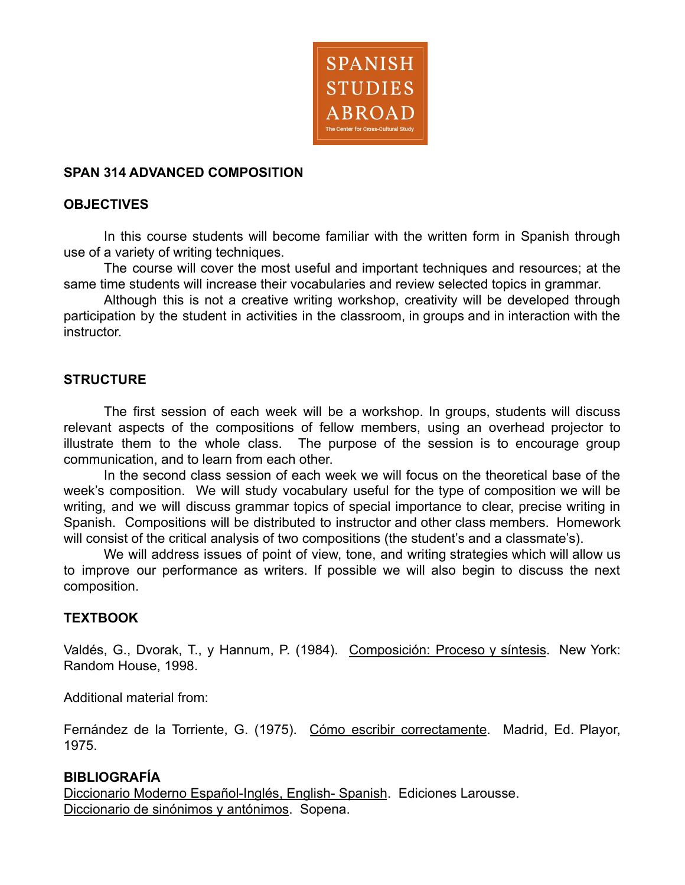

#### **SPAN 314 ADVANCED COMPOSITION**

#### **OBJECTIVES**

In this course students will become familiar with the written form in Spanish through use of a variety of writing techniques.

The course will cover the most useful and important techniques and resources; at the same time students will increase their vocabularies and review selected topics in grammar.

Although this is not a creative writing workshop, creativity will be developed through participation by the student in activities in the classroom, in groups and in interaction with the **instructor** 

#### **STRUCTURE**

The first session of each week will be a workshop. In groups, students will discuss relevant aspects of the compositions of fellow members, using an overhead projector to illustrate them to the whole class. The purpose of the session is to encourage group communication, and to learn from each other.

In the second class session of each week we will focus on the theoretical base of the week's composition. We will study vocabulary useful for the type of composition we will be writing, and we will discuss grammar topics of special importance to clear, precise writing in Spanish. Compositions will be distributed to instructor and other class members. Homework will consist of the critical analysis of two compositions (the student's and a classmate's).

We will address issues of point of view, tone, and writing strategies which will allow us to improve our performance as writers. If possible we will also begin to discuss the next composition.

#### **TEXTBOOK**

Valdés, G., Dvorak, T., y Hannum, P. (1984). Composición: Proceso y síntesis. New York: Random House, 1998.

Additional material from:

Fernández de la Torriente, G. (1975). Cómo escribir correctamente. Madrid, Ed. Playor, 1975.

#### **BIBLIOGRAFÍA**

Diccionario Moderno Español-Inglés, English- Spanish. Ediciones Larousse. Diccionario de sinónimos y antónimos. Sopena.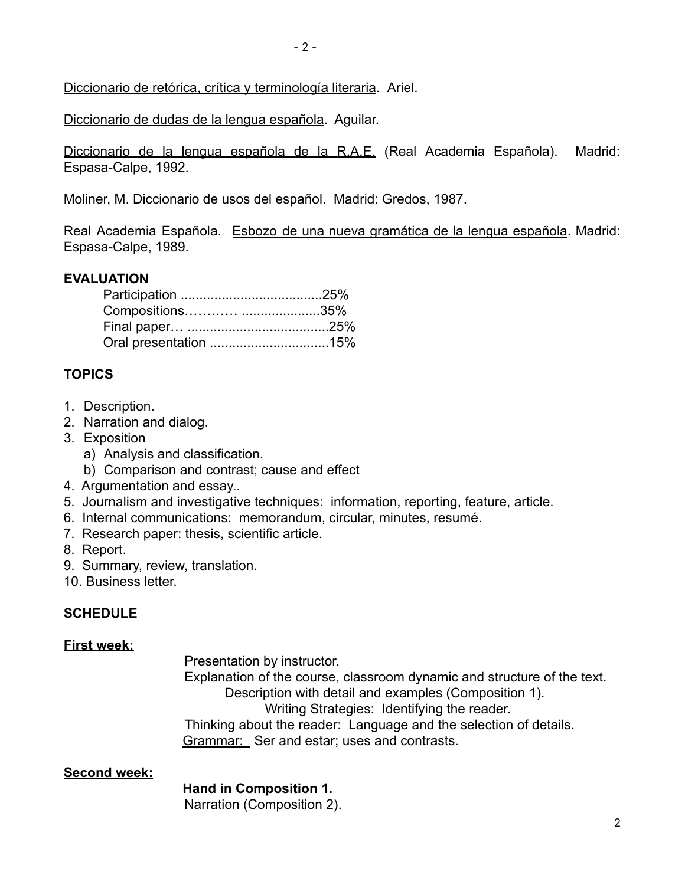Diccionario de retórica, crítica y terminología literaria. Ariel.

Diccionario de dudas de la lengua española. Aguilar.

Diccionario de la lengua española de la R.A.E. (Real Academia Española). Madrid: Espasa-Calpe, 1992.

Moliner, M. Diccionario de usos del español. Madrid: Gredos, 1987.

Real Academia Española. Esbozo de una nueva gramática de la lengua española. Madrid: Espasa-Calpe, 1989.

# **EVALUATION**

# **TOPICS**

- 1. Description.
- 2. Narration and dialog.
- 3. Exposition
	- a) Analysis and classification.
	- b) Comparison and contrast; cause and effect
- 4. Argumentation and essay..
- 5. Journalism and investigative techniques: information, reporting, feature, article.
- 6. Internal communications: memorandum, circular, minutes, resumé.
- 7. Research paper: thesis, scientific article.
- 8. Report.
- 9. Summary, review, translation.
- 10. Business letter.

# **SCHEDULE**

# **First week:**

Presentation by instructor.

Explanation of the course, classroom dynamic and structure of the text. Description with detail and examples (Composition 1). Writing Strategies: Identifying the reader. Thinking about the reader: Language and the selection of details. Grammar: Ser and estar; uses and contrasts.

# **Second week:**

# **Hand in Composition 1.**

Narration (Composition 2).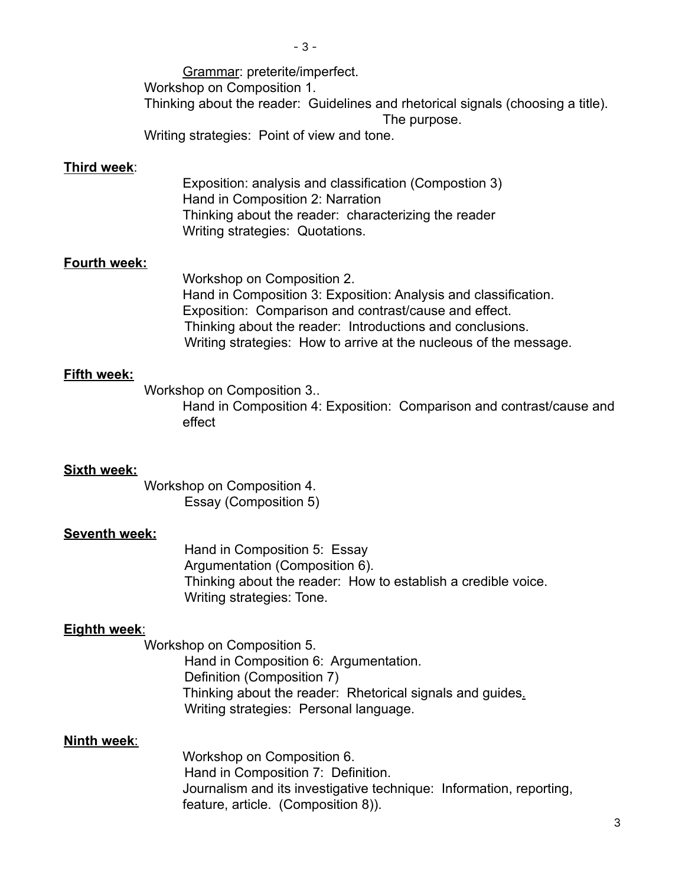Grammar: preterite/imperfect.

Workshop on Composition 1.

Thinking about the reader: Guidelines and rhetorical signals (choosing a title). The purpose.

Writing strategies: Point of view and tone.

#### **Third week**:

Exposition: analysis and classification (Compostion 3) Hand in Composition 2: Narration Thinking about the reader: characterizing the reader Writing strategies: Quotations.

#### **Fourth week:**

Workshop on Composition 2. Hand in Composition 3: Exposition: Analysis and classification. Exposition: Comparison and contrast/cause and effect. Thinking about the reader: Introductions and conclusions. Writing strategies: How to arrive at the nucleous of the message.

#### **Fifth week:**

Workshop on Composition 3..

Hand in Composition 4: Exposition: Comparison and contrast/cause and effect

#### **Sixth week:**

Workshop on Composition 4. Essay (Composition 5)

#### **Seventh week:**

Hand in Composition 5: Essay Argumentation (Composition 6). Thinking about the reader: How to establish a credible voice. Writing strategies: Tone.

#### **Eighth week**:

Workshop on Composition 5.

Hand in Composition 6: Argumentation. Definition (Composition 7) Thinking about the reader: Rhetorical signals and guides*.* Writing strategies: Personal language.

#### **Ninth week**:

Workshop on Composition 6. Hand in Composition 7: Definition. Journalism and its investigative technique: Information, reporting, feature, article. (Composition 8)).